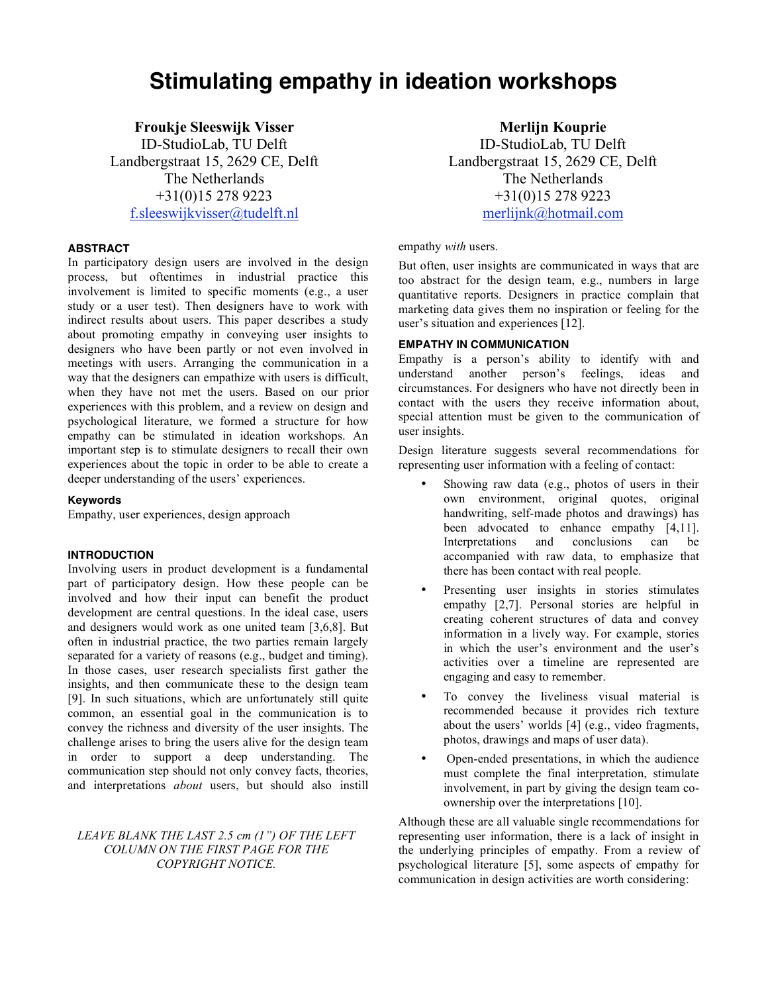# **Stimulating empathy in ideation workshops**

**Froukje Sleeswijk Visser**

ID-StudioLab, TU Delft Landbergstraat 15, 2629 CE, Delft The Netherlands +31(0)15 278 9223 f.sleeswijkvisser@tudelft.nl

# **ABSTRACT**

In participatory design users are involved in the design process, but oftentimes in industrial practice this involvement is limited to specific moments (e.g., a user study or a user test). Then designers have to work with indirect results about users. This paper describes a study about promoting empathy in conveying user insights to designers who have been partly or not even involved in meetings with users. Arranging the communication in a way that the designers can empathize with users is difficult, when they have not met the users. Based on our prior experiences with this problem, and a review on design and psychological literature, we formed a structure for how empathy can be stimulated in ideation workshops. An important step is to stimulate designers to recall their own experiences about the topic in order to be able to create a deeper understanding of the users' experiences.

## **Keywords**

Empathy, user experiences, design approach

## **INTRODUCTION**

Involving users in product development is a fundamental part of participatory design. How these people can be involved and how their input can benefit the product development are central questions. In the ideal case, users and designers would work as one united team [3,6,8]. But often in industrial practice, the two parties remain largely separated for a variety of reasons (e.g., budget and timing). In those cases, user research specialists first gather the insights, and then communicate these to the design team [9]. In such situations, which are unfortunately still quite common, an essential goal in the communication is to convey the richness and diversity of the user insights. The challenge arises to bring the users alive for the design team in order to support a deep understanding. The communication step should not only convey facts, theories, and interpretations *about* users, but should also instill

# *LEAVE BLANK THE LAST 2.5 cm (1") OF THE LEFT COLUMN ON THE FIRST PAGE FOR THE COPYRIGHT NOTICE.*

**Merlijn Kouprie** ID-StudioLab, TU Delft Landbergstraat 15, 2629 CE, Delft The Netherlands +31(0)15 278 9223 merlijnk@hotmail.com

#### empathy *with* users.

But often, user insights are communicated in ways that are too abstract for the design team, e.g., numbers in large quantitative reports. Designers in practice complain that marketing data gives them no inspiration or feeling for the user's situation and experiences [12].

## **EMPATHY IN COMMUNICATION**

Empathy is a person's ability to identify with and understand another person's feelings, ideas and circumstances. For designers who have not directly been in contact with the users they receive information about, special attention must be given to the communication of user insights.

Design literature suggests several recommendations for representing user information with a feeling of contact:

- Showing raw data (e.g., photos of users in their own environment, original quotes, original handwriting, self-made photos and drawings) has been advocated to enhance empathy [4,11]. Interpretations and conclusions can be accompanied with raw data, to emphasize that there has been contact with real people.
- Presenting user insights in stories stimulates empathy [2,7]. Personal stories are helpful in creating coherent structures of data and convey information in a lively way. For example, stories in which the user's environment and the user's activities over a timeline are represented are engaging and easy to remember.
- To convey the liveliness visual material is recommended because it provides rich texture about the users' worlds [4] (e.g., video fragments, photos, drawings and maps of user data).
- Open-ended presentations, in which the audience must complete the final interpretation, stimulate involvement, in part by giving the design team coownership over the interpretations [10].

Although these are all valuable single recommendations for representing user information, there is a lack of insight in the underlying principles of empathy. From a review of psychological literature [5], some aspects of empathy for communication in design activities are worth considering: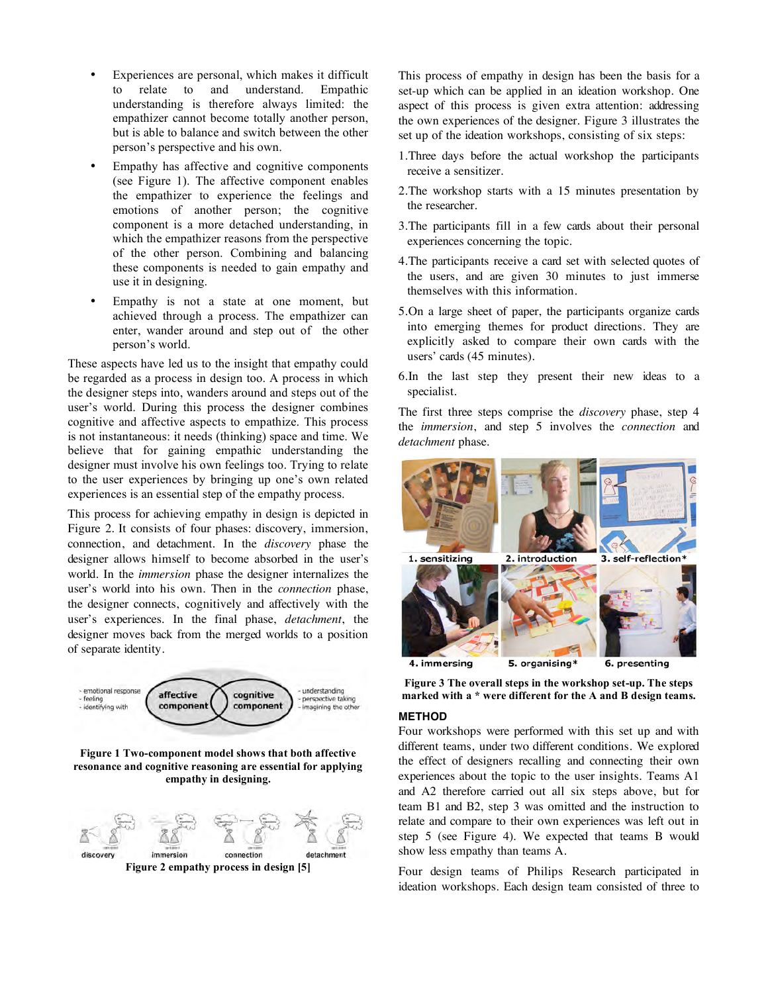- Experiences are personal, which makes it difficult<br>to relate to and understand. Empathic to relate to and understand. Empathic understanding is therefore always limited: the empathizer cannot become totally another person, but is able to balance and switch between the other person's perspective and his own.
- Empathy has affective and cognitive components (see Figure 1). The affective component enables the empathizer to experience the feelings and emotions of another person; the cognitive component is a more detached understanding, in which the empathizer reasons from the perspective of the other person. Combining and balancing these components is needed to gain empathy and use it in designing.
- Empathy is not a state at one moment, but achieved through a process. The empathizer can enter, wander around and step out of the other person's world.

These aspects have led us to the insight that empathy could be regarded as a process in design too. A process in which the designer steps into, wanders around and steps out of the user's world. During this process the designer combines cognitive and affective aspects to empathize. This process is not instantaneous: it needs (thinking) space and time. We believe that for gaining empathic understanding the designer must involve his own feelings too. Trying to relate to the user experiences by bringing up one's own related experiences is an essential step of the empathy process.

This process for achieving empathy in design is depicted in Figure 2. It consists of four phases: discovery, immersion, connection, and detachment. In the *discovery* phase the designer allows himself to become absorbed in the user's world. In the *immersion* phase the designer internalizes the user's world into his own. Then in the *connection* phase, the designer connects, cognitively and affectively with the user's experiences. In the final phase, *detachment*, the designer moves back from the merged worlds to a position of separate identity.



**Figure 1 Two-component model shows that both affective resonance and cognitive reasoning are essential for applying empathy in designing.**



This process of empathy in design has been the basis for a set-up which can be applied in an ideation workshop. One aspect of this process is given extra attention: addressing the own experiences of the designer. Figure 3 illustrates the set up of the ideation workshops, consisting of six steps:

- 1.Three days before the actual workshop the participants receive a sensitizer.
- 2.The workshop starts with a 15 minutes presentation by the researcher.
- 3.The participants fill in a few cards about their personal experiences concerning the topic.
- 4.The participants receive a card set with selected quotes of the users, and are given 30 minutes to just immerse themselves with this information.
- 5.On a large sheet of paper, the participants organize cards into emerging themes for product directions. They are explicitly asked to compare their own cards with the users' cards (45 minutes).
- 6.In the last step they present their new ideas to a specialist.

The first three steps comprise the *discovery* phase, step 4 the *immersion*, and step 5 involves the *connection* and *detachment* phase.



**Figure 3 The overall steps in the workshop set-up. The steps marked with a \* were different for the A and B design teams.**

#### **METHOD**

Four workshops were performed with this set up and with different teams, under two different conditions. We explored the effect of designers recalling and connecting their own experiences about the topic to the user insights. Teams A1 and A2 therefore carried out all six steps above, but for team B1 and B2, step 3 was omitted and the instruction to relate and compare to their own experiences was left out in step 5 (see Figure 4). We expected that teams B would show less empathy than teams A.

Four design teams of Philips Research participated in ideation workshops. Each design team consisted of three to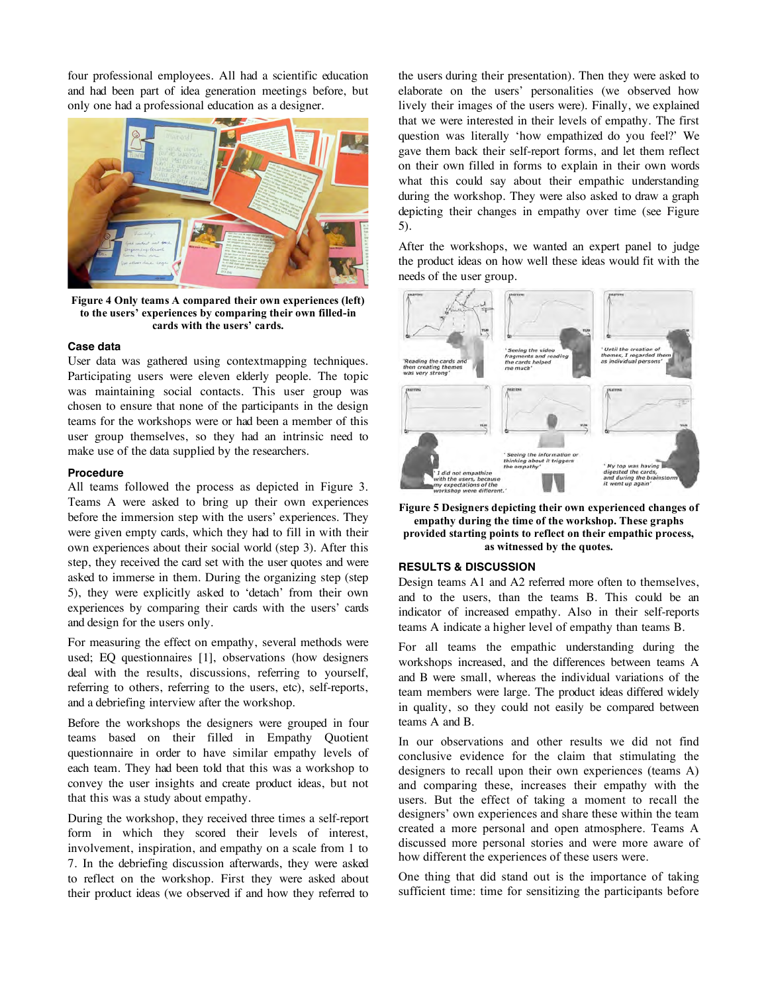four professional employees. All had a scientific education and had been part of idea generation meetings before, but only one had a professional education as a designer.



**Figure 4 Only teams A compared their own experiences (left) to the users' experiences by comparing their own filled-in cards with the users' cards.**

#### **Case data**

User data was gathered using contextmapping techniques. Participating users were eleven elderly people. The topic was maintaining social contacts. This user group was chosen to ensure that none of the participants in the design teams for the workshops were or had been a member of this user group themselves, so they had an intrinsic need to make use of the data supplied by the researchers.

#### **Procedure**

All teams followed the process as depicted in Figure 3. Teams A were asked to bring up their own experiences before the immersion step with the users' experiences. They were given empty cards, which they had to fill in with their own experiences about their social world (step 3). After this step, they received the card set with the user quotes and were asked to immerse in them. During the organizing step (step 5), they were explicitly asked to 'detach' from their own experiences by comparing their cards with the users' cards and design for the users only.

For measuring the effect on empathy, several methods were used; EQ questionnaires [1], observations (how designers deal with the results, discussions, referring to yourself, referring to others, referring to the users, etc), self-reports, and a debriefing interview after the workshop.

Before the workshops the designers were grouped in four teams based on their filled in Empathy Quotient questionnaire in order to have similar empathy levels of each team. They had been told that this was a workshop to convey the user insights and create product ideas, but not that this was a study about empathy.

During the workshop, they received three times a self-report form in which they scored their levels of interest, involvement, inspiration, and empathy on a scale from 1 to 7. In the debriefing discussion afterwards, they were asked to reflect on the workshop. First they were asked about their product ideas (we observed if and how they referred to

the users during their presentation). Then they were asked to elaborate on the users' personalities (we observed how lively their images of the users were). Finally, we explained that we were interested in their levels of empathy. The first question was literally 'how empathized do you feel?' We gave them back their self-report forms, and let them reflect on their own filled in forms to explain in their own words what this could say about their empathic understanding during the workshop. They were also asked to draw a graph depicting their changes in empathy over time (see Figure 5).

After the workshops, we wanted an expert panel to judge the product ideas on how well these ideas would fit with the needs of the user group.



**Figure 5 Designers depicting their own experienced changes of empathy during the time of the workshop. These graphs provided starting points to reflect on their empathic process, as witnessed by the quotes.**

#### **RESULTS & DISCUSSION**

Design teams A1 and A2 referred more often to themselves, and to the users, than the teams B. This could be an indicator of increased empathy. Also in their self-reports teams A indicate a higher level of empathy than teams B.

For all teams the empathic understanding during the workshops increased, and the differences between teams A and B were small, whereas the individual variations of the team members were large. The product ideas differed widely in quality, so they could not easily be compared between teams A and B.

In our observations and other results we did not find conclusive evidence for the claim that stimulating the designers to recall upon their own experiences (teams A) and comparing these, increases their empathy with the users. But the effect of taking a moment to recall the designers' own experiences and share these within the team created a more personal and open atmosphere. Teams A discussed more personal stories and were more aware of how different the experiences of these users were.

One thing that did stand out is the importance of taking sufficient time: time for sensitizing the participants before